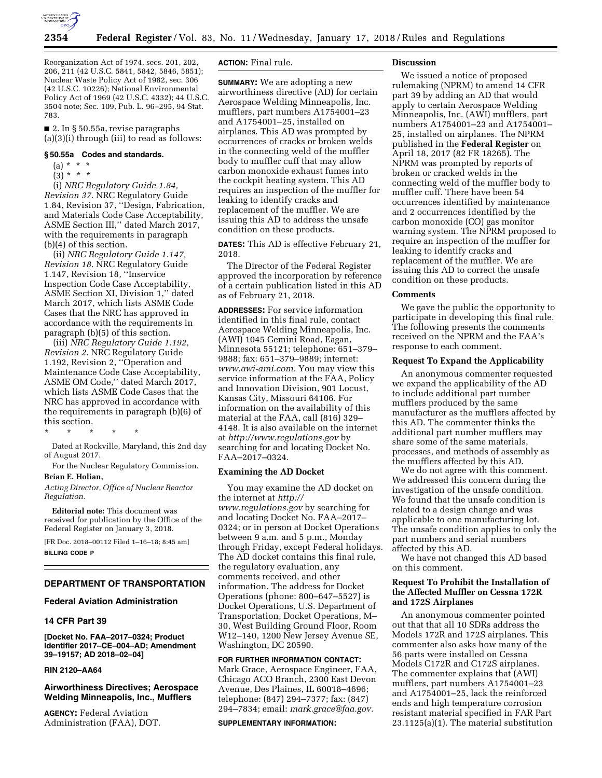

Reorganization Act of 1974, secs. 201, 202, 206, 211 (42 U.S.C. 5841, 5842, 5846, 5851); Nuclear Waste Policy Act of 1982, sec. 306 (42 U.S.C. 10226); National Environmental Policy Act of 1969 (42 U.S.C. 4332); 44 U.S.C. 3504 note; Sec. 109, Pub. L. 96–295, 94 Stat. 783.

■ 2. In § 50.55a, revise paragraphs (a)(3)(i) through (iii) to read as follows:

### **§ 50.55a Codes and standards.**

- $(a) * * * *$
- $(3) * * * *$

(i) *NRC Regulatory Guide 1.84, Revision 37.* NRC Regulatory Guide 1.84, Revision 37, ''Design, Fabrication, and Materials Code Case Acceptability, ASME Section III,'' dated March 2017, with the requirements in paragraph (b)(4) of this section.

(ii) *NRC Regulatory Guide 1.147, Revision 18.* NRC Regulatory Guide 1.147, Revision 18, ''Inservice Inspection Code Case Acceptability, ASME Section XI, Division 1,'' dated March 2017, which lists ASME Code Cases that the NRC has approved in accordance with the requirements in paragraph (b)(5) of this section.

(iii) *NRC Regulatory Guide 1.192, Revision 2.* NRC Regulatory Guide 1.192, Revision 2, ''Operation and Maintenance Code Case Acceptability, ASME OM Code,'' dated March 2017, which lists ASME Code Cases that the NRC has approved in accordance with the requirements in paragraph (b)(6) of this section.

\* \* \* \* \*

Dated at Rockville, Maryland, this 2nd day of August 2017.

For the Nuclear Regulatory Commission.

#### **Brian E. Holian,**

*Acting Director, Office of Nuclear Reactor Regulation.* 

**Editorial note:** This document was received for publication by the Office of the Federal Register on January 3, 2018.

[FR Doc. 2018–00112 Filed 1–16–18; 8:45 am] **BILLING CODE P** 

# **DEPARTMENT OF TRANSPORTATION**

### **Federal Aviation Administration**

# **14 CFR Part 39**

**[Docket No. FAA–2017–0324; Product Identifier 2017–CE–004–AD; Amendment 39–19157; AD 2018–02–04]** 

## **RIN 2120–AA64**

# **Airworthiness Directives; Aerospace Welding Minneapolis, Inc., Mufflers**

**AGENCY:** Federal Aviation Administration (FAA), DOT.

# **ACTION:** Final rule.

**SUMMARY:** We are adopting a new airworthiness directive (AD) for certain Aerospace Welding Minneapolis, Inc. mufflers, part numbers A1754001–23 and A1754001–25, installed on airplanes. This AD was prompted by occurrences of cracks or broken welds in the connecting weld of the muffler body to muffler cuff that may allow carbon monoxide exhaust fumes into the cockpit heating system. This AD requires an inspection of the muffler for leaking to identify cracks and replacement of the muffler. We are issuing this AD to address the unsafe condition on these products.

**DATES:** This AD is effective February 21, 2018.

The Director of the Federal Register approved the incorporation by reference of a certain publication listed in this AD as of February 21, 2018.

**ADDRESSES:** For service information identified in this final rule, contact Aerospace Welding Minneapolis, Inc. (AWI) 1045 Gemini Road, Eagan, Minnesota 55121; telephone: 651–379– 9888; fax: 651–379–9889; internet: *[www.awi-ami.com.](http://www.awi-ami.com)* You may view this service information at the FAA, Policy and Innovation Division, 901 Locust, Kansas City, Missouri 64106. For information on the availability of this material at the FAA, call (816) 329– 4148. It is also available on the internet at *<http://www.regulations.gov>* by searching for and locating Docket No. FAA–2017–0324.

### **Examining the AD Docket**

You may examine the AD docket on the internet at *[http://](http://www.regulations.gov) [www.regulations.gov](http://www.regulations.gov)* by searching for and locating Docket No. FAA–2017– 0324; or in person at Docket Operations between 9 a.m. and 5 p.m., Monday through Friday, except Federal holidays. The AD docket contains this final rule, the regulatory evaluation, any comments received, and other information. The address for Docket Operations (phone: 800–647–5527) is Docket Operations, U.S. Department of Transportation, Docket Operations, M– 30, West Building Ground Floor, Room W12–140, 1200 New Jersey Avenue SE, Washington, DC 20590.

### **FOR FURTHER INFORMATION CONTACT:**

Mark Grace, Aerospace Engineer, FAA, Chicago ACO Branch, 2300 East Devon Avenue, Des Plaines, IL 60018–4696; telephone: (847) 294–7377; fax: (847) 294–7834; email: *[mark.grace@faa.gov.](mailto:mark.grace@faa.gov)* 

### **SUPPLEMENTARY INFORMATION:**

### **Discussion**

We issued a notice of proposed rulemaking (NPRM) to amend 14 CFR part 39 by adding an AD that would apply to certain Aerospace Welding Minneapolis, Inc. (AWI) mufflers, part numbers A1754001–23 and A1754001– 25, installed on airplanes. The NPRM published in the **Federal Register** on April 18, 2017 (82 FR 18265). The NPRM was prompted by reports of broken or cracked welds in the connecting weld of the muffler body to muffler cuff. There have been 54 occurrences identified by maintenance and 2 occurrences identified by the carbon monoxide (CO) gas monitor warning system. The NPRM proposed to require an inspection of the muffler for leaking to identify cracks and replacement of the muffler. We are issuing this AD to correct the unsafe condition on these products.

### **Comments**

We gave the public the opportunity to participate in developing this final rule. The following presents the comments received on the NPRM and the FAA's response to each comment.

## **Request To Expand the Applicability**

An anonymous commenter requested we expand the applicability of the AD to include additional part number mufflers produced by the same manufacturer as the mufflers affected by this AD. The commenter thinks the additional part number mufflers may share some of the same materials, processes, and methods of assembly as the mufflers affected by this AD.

We do not agree with this comment. We addressed this concern during the investigation of the unsafe condition. We found that the unsafe condition is related to a design change and was applicable to one manufacturing lot. The unsafe condition applies to only the part numbers and serial numbers affected by this AD.

We have not changed this AD based on this comment.

## **Request To Prohibit the Installation of the Affected Muffler on Cessna 172R and 172S Airplanes**

An anonymous commenter pointed out that that all 10 SDRs address the Models 172R and 172S airplanes. This commenter also asks how many of the 56 parts were installed on Cessna Models C172R and C172S airplanes. The commenter explains that (AWI) mufflers, part numbers A1754001–23 and A1754001–25, lack the reinforced ends and high temperature corrosion resistant material specified in FAR Part 23.1125(a)(1). The material substitution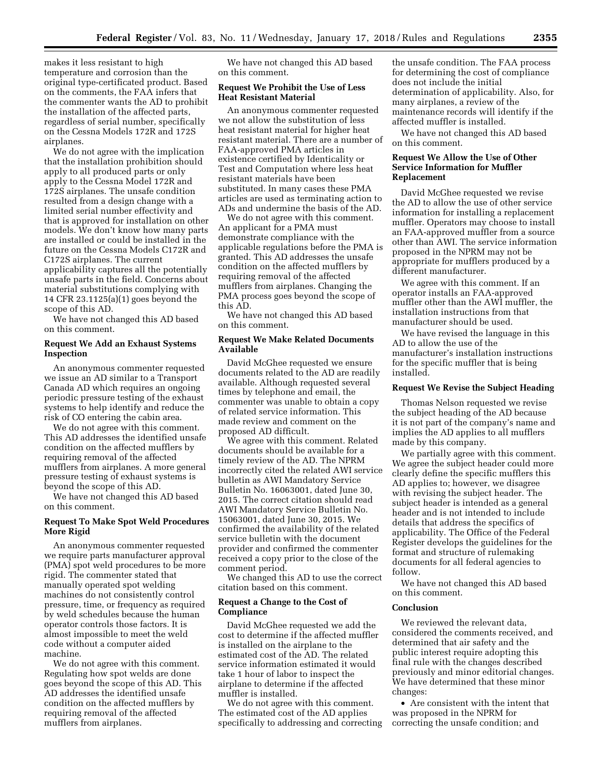makes it less resistant to high temperature and corrosion than the original type-certificated product. Based on the comments, the FAA infers that the commenter wants the AD to prohibit the installation of the affected parts, regardless of serial number, specifically on the Cessna Models 172R and 172S airplanes.

We do not agree with the implication that the installation prohibition should apply to all produced parts or only apply to the Cessna Model 172R and 172S airplanes. The unsafe condition resulted from a design change with a limited serial number effectivity and that is approved for installation on other models. We don't know how many parts are installed or could be installed in the future on the Cessna Models C172R and C172S airplanes. The current applicability captures all the potentially unsafe parts in the field. Concerns about material substitutions complying with 14 CFR 23.1125(a)(1) goes beyond the scope of this AD.

We have not changed this AD based on this comment.

## **Request We Add an Exhaust Systems Inspection**

An anonymous commenter requested we issue an AD similar to a Transport Canada AD which requires an ongoing periodic pressure testing of the exhaust systems to help identify and reduce the risk of CO entering the cabin area.

We do not agree with this comment. This AD addresses the identified unsafe condition on the affected mufflers by requiring removal of the affected mufflers from airplanes. A more general pressure testing of exhaust systems is beyond the scope of this AD.

We have not changed this AD based on this comment.

## **Request To Make Spot Weld Procedures More Rigid**

An anonymous commenter requested we require parts manufacturer approval (PMA) spot weld procedures to be more rigid. The commenter stated that manually operated spot welding machines do not consistently control pressure, time, or frequency as required by weld schedules because the human operator controls those factors. It is almost impossible to meet the weld code without a computer aided machine.

We do not agree with this comment. Regulating how spot welds are done goes beyond the scope of this AD. This AD addresses the identified unsafe condition on the affected mufflers by requiring removal of the affected mufflers from airplanes.

We have not changed this AD based on this comment.

## **Request We Prohibit the Use of Less Heat Resistant Material**

An anonymous commenter requested we not allow the substitution of less heat resistant material for higher heat resistant material. There are a number of FAA-approved PMA articles in existence certified by Identicality or Test and Computation where less heat resistant materials have been substituted. In many cases these PMA articles are used as terminating action to ADs and undermine the basis of the AD.

We do not agree with this comment. An applicant for a PMA must demonstrate compliance with the applicable regulations before the PMA is granted. This AD addresses the unsafe condition on the affected mufflers by requiring removal of the affected mufflers from airplanes. Changing the PMA process goes beyond the scope of this AD.

We have not changed this AD based on this comment.

# **Request We Make Related Documents Available**

David McGhee requested we ensure documents related to the AD are readily available. Although requested several times by telephone and email, the commenter was unable to obtain a copy of related service information. This made review and comment on the proposed AD difficult.

We agree with this comment. Related documents should be available for a timely review of the AD. The NPRM incorrectly cited the related AWI service bulletin as AWI Mandatory Service Bulletin No. 16063001, dated June 30, 2015. The correct citation should read AWI Mandatory Service Bulletin No. 15063001, dated June 30, 2015. We confirmed the availability of the related service bulletin with the document provider and confirmed the commenter received a copy prior to the close of the comment period.

We changed this AD to use the correct citation based on this comment.

## **Request a Change to the Cost of Compliance**

David McGhee requested we add the cost to determine if the affected muffler is installed on the airplane to the estimated cost of the AD. The related service information estimated it would take 1 hour of labor to inspect the airplane to determine if the affected muffler is installed.

We do not agree with this comment. The estimated cost of the AD applies specifically to addressing and correcting

the unsafe condition. The FAA process for determining the cost of compliance does not include the initial determination of applicability. Also, for many airplanes, a review of the maintenance records will identify if the affected muffler is installed.

We have not changed this AD based on this comment.

## **Request We Allow the Use of Other Service Information for Muffler Replacement**

David McGhee requested we revise the AD to allow the use of other service information for installing a replacement muffler. Operators may choose to install an FAA-approved muffler from a source other than AWI. The service information proposed in the NPRM may not be appropriate for mufflers produced by a different manufacturer.

We agree with this comment. If an operator installs an FAA-approved muffler other than the AWI muffler, the installation instructions from that manufacturer should be used.

We have revised the language in this AD to allow the use of the manufacturer's installation instructions for the specific muffler that is being installed.

## **Request We Revise the Subject Heading**

Thomas Nelson requested we revise the subject heading of the AD because it is not part of the company's name and implies the AD applies to all mufflers made by this company.

We partially agree with this comment. We agree the subject header could more clearly define the specific mufflers this AD applies to; however, we disagree with revising the subject header. The subject header is intended as a general header and is not intended to include details that address the specifics of applicability. The Office of the Federal Register develops the guidelines for the format and structure of rulemaking documents for all federal agencies to follow.

We have not changed this AD based on this comment.

# **Conclusion**

We reviewed the relevant data, considered the comments received, and determined that air safety and the public interest require adopting this final rule with the changes described previously and minor editorial changes. We have determined that these minor changes:

• Are consistent with the intent that was proposed in the NPRM for correcting the unsafe condition; and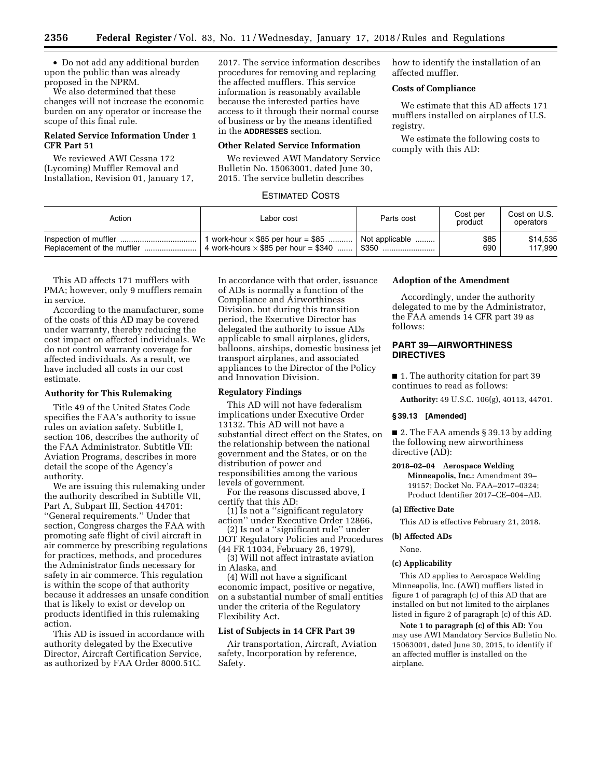• Do not add any additional burden upon the public than was already proposed in the NPRM.

We also determined that these changes will not increase the economic burden on any operator or increase the scope of this final rule.

# **Related Service Information Under 1 CFR Part 51**

We reviewed AWI Cessna 172 (Lycoming) Muffler Removal and Installation, Revision 01, January 17, 2017. The service information describes procedures for removing and replacing the affected mufflers. This service information is reasonably available because the interested parties have access to it through their normal course of business or by the means identified in the **ADDRESSES** section.

### **Other Related Service Information**

We reviewed AWI Mandatory Service Bulletin No. 15063001, dated June 30, 2015. The service bulletin describes

# ESTIMATED COSTS

| Action | Labor cost                                  | Parts cost     | Cost per<br>product | Cost on U.S.<br>operators |
|--------|---------------------------------------------|----------------|---------------------|---------------------------|
|        | work-hour $\times$ \$85 per hour = \$85     | Not applicable | \$85                | \$14,535                  |
|        | 4 work-hours $\times$ \$85 per hour = \$340 | . \$350        | 690                 | 117.990                   |

This AD affects 171 mufflers with PMA; however, only 9 mufflers remain in service.

According to the manufacturer, some of the costs of this AD may be covered under warranty, thereby reducing the cost impact on affected individuals. We do not control warranty coverage for affected individuals. As a result, we have included all costs in our cost estimate.

## **Authority for This Rulemaking**

Title 49 of the United States Code specifies the FAA's authority to issue rules on aviation safety. Subtitle I, section 106, describes the authority of the FAA Administrator. Subtitle VII: Aviation Programs, describes in more detail the scope of the Agency's authority.

We are issuing this rulemaking under the authority described in Subtitle VII, Part A, Subpart III, Section 44701: ''General requirements.'' Under that section, Congress charges the FAA with promoting safe flight of civil aircraft in air commerce by prescribing regulations for practices, methods, and procedures the Administrator finds necessary for safety in air commerce. This regulation is within the scope of that authority because it addresses an unsafe condition that is likely to exist or develop on products identified in this rulemaking action.

This AD is issued in accordance with authority delegated by the Executive Director, Aircraft Certification Service, as authorized by FAA Order 8000.51C.

In accordance with that order, issuance of ADs is normally a function of the Compliance and Airworthiness Division, but during this transition period, the Executive Director has delegated the authority to issue ADs applicable to small airplanes, gliders, balloons, airships, domestic business jet transport airplanes, and associated appliances to the Director of the Policy and Innovation Division.

## **Regulatory Findings**

This AD will not have federalism implications under Executive Order 13132. This AD will not have a substantial direct effect on the States, on the relationship between the national government and the States, or on the distribution of power and responsibilities among the various levels of government.

For the reasons discussed above, I certify that this AD:

(1) Is not a ''significant regulatory action'' under Executive Order 12866,

(2) Is not a ''significant rule'' under DOT Regulatory Policies and Procedures (44 FR 11034, February 26, 1979),

(3) Will not affect intrastate aviation in Alaska, and

(4) Will not have a significant economic impact, positive or negative, on a substantial number of small entities under the criteria of the Regulatory Flexibility Act.

## **List of Subjects in 14 CFR Part 39**

Air transportation, Aircraft, Aviation safety, Incorporation by reference, Safety.

# **Adoption of the Amendment**

Accordingly, under the authority delegated to me by the Administrator, the FAA amends 14 CFR part 39 as follows:

how to identify the installation of an

We estimate that this AD affects 171 mufflers installed on airplanes of U.S.

We estimate the following costs to

affected muffler. **Costs of Compliance** 

comply with this AD:

registry.

# **PART 39—AIRWORTHINESS DIRECTIVES**

■ 1. The authority citation for part 39 continues to read as follows:

**Authority:** 49 U.S.C. 106(g), 40113, 44701.

### **§ 39.13 [Amended]**

■ 2. The FAA amends § 39.13 by adding the following new airworthiness directive (AD):

**2018–02–04 Aerospace Welding Minneapolis, Inc.:** Amendment 39– 19157; Docket No. FAA–2017–0324; Product Identifier 2017–CE–004–AD.

## **(a) Effective Date**

This AD is effective February 21, 2018.

# **(b) Affected ADs**

None.

### **(c) Applicability**

This AD applies to Aerospace Welding Minneapolis, Inc. (AWI) mufflers listed in figure 1 of paragraph (c) of this AD that are installed on but not limited to the airplanes listed in figure 2 of paragraph (c) of this AD.

**Note 1 to paragraph (c) of this AD:** You may use AWI Mandatory Service Bulletin No. 15063001, dated June 30, 2015, to identify if an affected muffler is installed on the airplane.